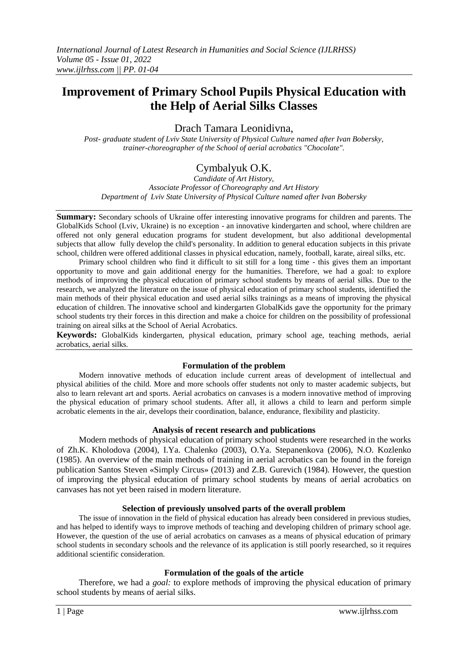# **Improvement of Primary School Pupils Physical Education with the Help of Aerial Silks Classes**

Drach Tamara Leonidivna,

*Post- graduate student of Lviv State University of Physical Culture named after Ivan Bobersky, trainer-choreographer of the School of aerial acrobatics "Chocolate".*

# Cymbalyuk O.K.

*Candidate of Art History, Associate Professor of Choreography and Art History Department of Lviv State University of Physical Culture named after Ivan Bobersky*

**Summary:** Secondary schools of Ukraine offer interesting innovative programs for children and parents. The GlobalKids School (Lviv, Ukraine) is no exception - an innovative kindergarten and school, where children are offered not only general education programs for student development, but also additional developmental subjects that allow fully develop the child's personality. In addition to general education subjects in this private school, children were offered additional classes in physical education, namely, football, karate, aireal silks, etc.

Primary school children who find it difficult to sit still for a long time - this gives them an important opportunity to move and gain additional energy for the humanities. Therefore, we had a goal: to explore methods of improving the physical education of primary school students by means of aerial silks. Due to the research, we analyzed the literature on the issue of physical education of primary school students, identified the main methods of their physical education and used aerial silks trainings as a means of improving the physical education of children. The innovative school and kindergarten GlobalKids gave the opportunity for the primary school students try their forces in this direction and make a choice for children on the possibility of professional training on aireal silks at the School of Aerial Acrobatics.

**Keywords:** GlobalKids kindergarten, physical education, primary school age, teaching methods, aerial acrobatics, aerial silks.

### **Formulation of the problem**

Modern innovative methods of education include current areas of development of intellectual and physical abilities of the child. More and more schools offer students not only to master academic subjects, but also to learn relevant art and sports. Aerial acrobatics on canvases is a modern innovative method of improving the physical education of primary school students. After all, it allows a child to learn and perform simple acrobatic elements in the air, develops their coordination, balance, endurance, flexibility and plasticity.

### **Analysis of recent research and publications**

Modern methods of physical education of primary school students were researched in the works of Zh.K. Kholodova (2004), I.Ya. Chalenko (2003), O.Ya. Stepanenkova (2006), N.O. Kozlenko (1985). An overview of the main methods of training in aerial acrobatics can be found in the foreign publication Santos Steven «Simply Circus» (2013) and Z.B. Gurevich (1984). However, the question of improving the physical education of primary school students by means of aerial acrobatics on canvases has not yet been raised in modern literature.

### **Selection of previously unsolved parts of the overall problem**

The issue of innovation in the field of physical education has already been considered in previous studies, and has helped to identify ways to improve methods of teaching and developing children of primary school age. However, the question of the use of aerial acrobatics on canvases as a means of physical education of primary school students in secondary schools and the relevance of its application is still poorly researched, so it requires additional scientific consideration.

### **Formulation of the goals of the article**

Therefore, we had a *goal:* to explore methods of improving the physical education of primary school students by means of aerial silks.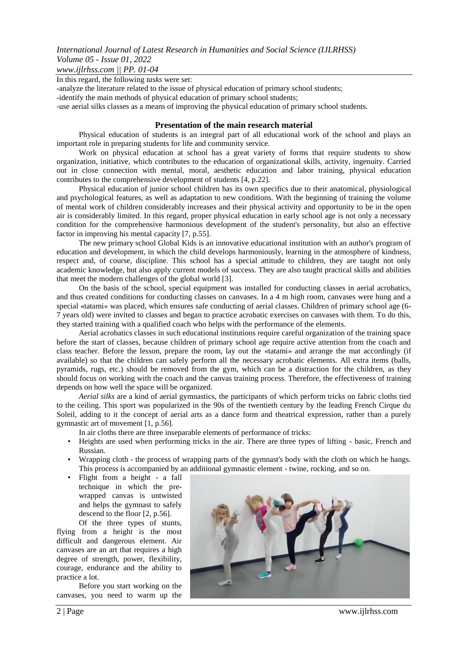*www.ijlrhss.com || PP. 01-04*

In this regard, the following *tasks* were set:

-analyze the literature related to the issue of physical education of primary school students;

-identify the main methods of physical education of primary school students;

-use aerial silks classes as a means of improving the physical education of primary school students.

#### **Presentation of the main research material**

Physical education of students is an integral part of all educational work of the school and plays an important role in preparing students for life and community service.

Work on physical education at school has a great variety of forms that require students to show organization, initiative, which contributes to the education of organizational skills, activity, ingenuity. Carried out in close connection with mental, moral, aesthetic education and labor training, physical education contributes to the comprehensive development of students [4, p.22].

Physical education of junior school children has its own specifics due to their anatomical, physiological and psychological features, as well as adaptation to new conditions. With the beginning of training the volume of mental work of children considerably increases and their physical activity and opportunity to be in the open air is considerably limited. In this regard, proper physical education in early school age is not only a necessary condition for the comprehensive harmonious development of the student's personality, but also an effective factor in improving his mental capacity [7, p.55].

The new primary school Global Kids is an innovative educational institution with an author's program of education and development, in which the child develops harmoniously, learning in the atmosphere of kindness, respect and, of course, discipline. This school has a special attitude to children, they are taught not only academic knowledge, but also apply current models of success. They are also taught practical skills and abilities that meet the modern challenges of the global world [3].

On the basis of the school, special equipment was installed for conducting classes in aerial acrobatics, and thus created conditions for conducting classes on canvases. In a 4 m high room, canvases were hung and a special «tatami» was placed, which ensures safe conducting of aerial classes. Children of primary school age (6- 7 years old) were invited to classes and began to practice acrobatic exercises on canvases with them. To do this, they started training with a qualified coach who helps with the performance of the elements.

Aerial acrobatics classes in such educational institutions require careful organization of the training space before the start of classes, because children of primary school age require active attention from the coach and class teacher. Before the lesson, prepare the room, lay out the «tatami» and arrange the mat accordingly (if available) so that the children can safely perform all the necessary acrobatic elements. All extra items (balls, pyramids, rugs, etc.) should be removed from the gym, which can be a distraction for the children, as they should focus on working with the coach and the canvas training process. Therefore, the effectiveness of training depends on how well the space will be organized.

*Aerial silks* are a kind of aerial gymnastics, the participants of which perform tricks on fabric cloths tied to the ceiling. This sport was popularized in the 90s of the twentieth century by the leading French Cirque du Soleil, adding to it the concept of aerial arts as a dance form and theatrical expression, rather than a purely gymnastic art of movement [1, p.56].

- In air cloths there are three inseparable elements of performance of tricks:
- Heights are used when performing tricks in the air. There are three types of lifting basic, French and Russian.
- Wrapping cloth the process of wrapping parts of the gymnast's body with the cloth on which he hangs. This process is accompanied by an additional gymnastic element - twine, rocking, and so on.
- Flight from a height a fall technique in which the prewrapped canvas is untwisted and helps the gymnast to safely descend to the floor [2, p.56].

Of the three types of stunts, flying from a height is the most difficult and dangerous element. Air canvases are an art that requires a high degree of strength, power, flexibility, courage, endurance and the ability to practice a lot.

Before you start working on the canvases, you need to warm up the



2 | Page www.ijlrhss.com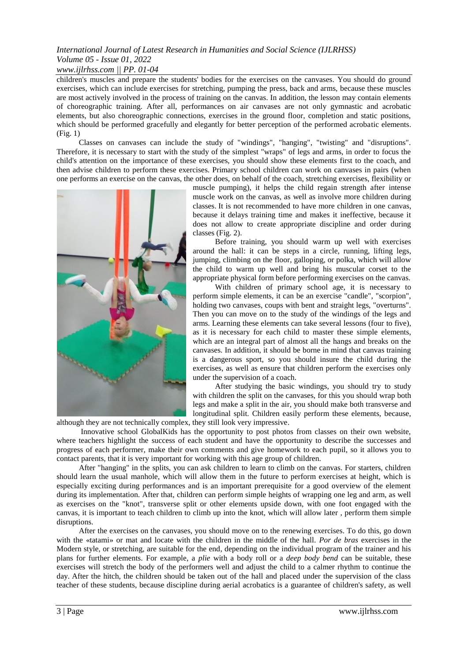# *International Journal of Latest Research in Humanities and Social Science (IJLRHSS) Volume 05 - Issue 01, 2022*

### *www.ijlrhss.com || PP. 01-04*

children's muscles and prepare the students' bodies for the exercises on the canvases. You should do ground exercises, which can include exercises for stretching, pumping the press, back and arms, because these muscles are most actively involved in the process of training on the canvas. In addition, the lesson may contain elements of choreographic training. After all, performances on air canvases are not only gymnastic and acrobatic elements, but also choreographic connections, exercises in the ground floor, completion and static positions, which should be performed gracefully and elegantly for better perception of the performed acrobatic elements. (Fig. 1)

Classes on canvases can include the study of "windings", "hanging", "twisting" and "disruptions". Therefore, it is necessary to start with the study of the simplest "wraps" of legs and arms, in order to focus the child's attention on the importance of these exercises, you should show these elements first to the coach, and then advise children to perform these exercises. Primary school children can work on canvases in pairs (when one performs an exercise on the canvas, the other does, on behalf of the coach, stretching exercises, flexibility or



although they are not technically complex, they still look very impressive.

muscle pumping), it helps the child regain strength after intense muscle work on the canvas, as well as involve more children during classes. It is not recommended to have more children in one canvas, because it delays training time and makes it ineffective, because it does not allow to create appropriate discipline and order during classes (Fig. 2).

Before training, you should warm up well with exercises around the hall: it can be steps in a circle, running, lifting legs, jumping, climbing on the floor, galloping, or polka, which will allow the child to warm up well and bring his muscular corset to the appropriate physical form before performing exercises on the canvas.

With children of primary school age, it is necessary to perform simple elements, it can be an exercise "candle", "scorpion", holding two canvases, coups with bent and straight legs, "overturns". Then you can move on to the study of the windings of the legs and arms. Learning these elements can take several lessons (four to five), as it is necessary for each child to master these simple elements, which are an integral part of almost all the hangs and breaks on the canvases. In addition, it should be borne in mind that canvas training is a dangerous sport, so you should insure the child during the exercises, as well as ensure that children perform the exercises only under the supervision of a coach.

After studying the basic windings, you should try to study with children the split on the canvases, for this you should wrap both legs and make a split in the air, you should make both transverse and longitudinal split. Children easily perform these elements, because,

Innovative school GlobalKids has the opportunity to post photos from classes on their own website, where teachers highlight the success of each student and have the opportunity to describe the successes and progress of each performer, make their own comments and give homework to each pupil, so it allows you to contact parents, that it is very important for working with this age group of children.

After "hanging" in the splits, you can ask children to learn to climb on the canvas. For starters, children should learn the usual manhole, which will allow them in the future to perform exercises at height, which is especially exciting during performances and is an important prerequisite for a good overview of the element during its implementation. After that, children can perform simple heights of wrapping one leg and arm, as well as exercises on the "knot", transverse split or other elements upside down, with one foot engaged with the canvas, it is important to teach children to climb up into the knot, which will allow later , perform them simple disruptions.

After the exercises on the canvases, you should move on to the renewing exercises. To do this, go down with the «tatami» or mat and locate with the children in the middle of the hall. *Por de bras* exercises in the Modern style, or stretching, are suitable for the end, depending on the individual program of the trainer and his plans for further elements. For example, a *plie* with a body roll or a *deep body bend* can be suitable, these exercises will stretch the body of the performers well and adjust the child to a calmer rhythm to continue the day. After the hitch, the children should be taken out of the hall and placed under the supervision of the class teacher of these students, because discipline during aerial acrobatics is a guarantee of children's safety, as well